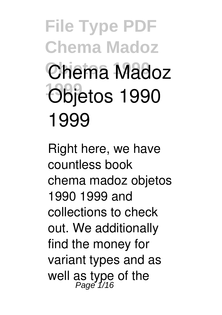**File Type PDF Chema Madoz Chema Madoz 1999 Objetos 1990 1999**

Right here, we have countless book **chema madoz objetos 1990 1999** and collections to check out. We additionally find the money for variant types and as well as type of the Page 1/16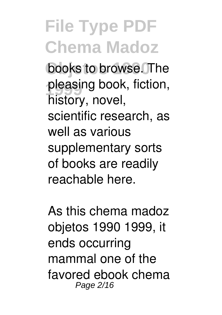books to browse. The pleasing book, fiction, history, novel, scientific research, as well as various supplementary sorts of books are readily reachable here.

As this chema madoz objetos 1990 1999, it ends occurring mammal one of the favored ebook chema Page 2/16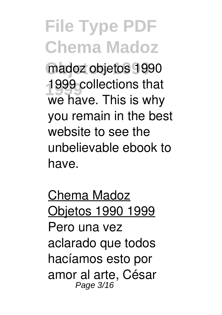**Objetos 1990** madoz objetos 1990 **1999** 1999 collections that we have. This is why you remain in the best website to see the unbelievable ebook to have.

Chema Madoz Objetos 1990 1999 Pero una vez aclarado que todos hacíamos esto por amor al arte, César Page 3/16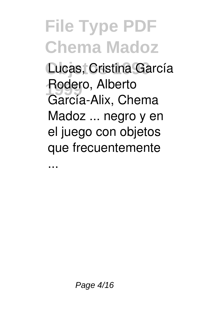**File Type PDF Chema Madoz Objetos 1990** Lucas, Cristina García Rodero, Alberto García-Alix, Chema Madoz ... negro y en el juego con objetos que frecuentemente

...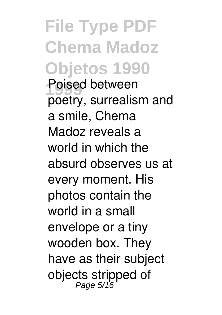**File Type PDF Chema Madoz Objetos 1990 1999** Poised between poetry, surrealism and a smile, Chema Madoz reveals a world in which the absurd observes us at every moment. His photos contain the world in a small envelope or a tiny wooden box. They have as their subject objects stripped of<br><sup>Page 5/16</sup>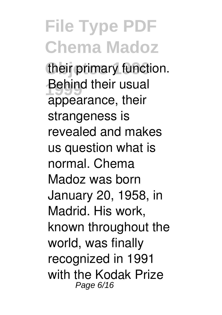**File Type PDF Chema Madoz** their primary function. **Behind their usual** appearance, their strangeness is revealed and makes us question what is normal. Chema Madoz was born January 20, 1958, in Madrid. His work, known throughout the world, was finally recognized in 1991 with the Kodak Prize Page 6/16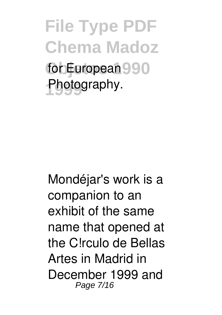**File Type PDF Chema Madoz** for European 990 Photography.

Mondéjar's work is a companion to an exhibit of the same name that opened at the C!rculo de Bellas Artes in Madrid in December 1999 and Page 7/16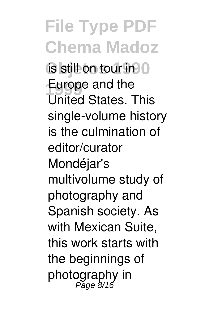**File Type PDF Chema Madoz** is still on tour in 0 **Europe and the** United States. This single-volume history is the culmination of editor/curator Mondéjar's multivolume study of photography and Spanish society. As with Mexican Suite, this work starts with the beginnings of photography in Page 8/16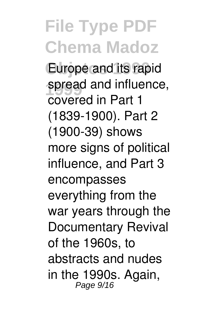Europe and its rapid spread and influence, covered in Part 1 (1839-1900). Part 2 (1900-39) shows more signs of political influence, and Part 3 encompasses everything from the war years through the Documentary Revival of the 1960s, to abstracts and nudes in the 1990s. Again, Page 9/16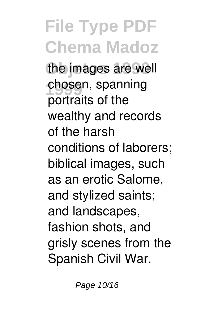**File Type PDF Chema Madoz** the images are well chosen, spanning portraits of the wealthy and records of the harsh conditions of laborers; biblical images, such as an erotic Salome, and stylized saints; and landscapes, fashion shots, and grisly scenes from the Spanish Civil War.

Page 10/16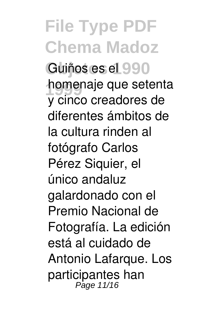**File Type PDF Chema Madoz** Guiños es el 990 **homenaje que setenta** y cinco creadores de diferentes ámbitos de la cultura rinden al fotógrafo Carlos Pérez Siquier, el único andaluz galardonado con el Premio Nacional de Fotografía. La edición está al cuidado de Antonio Lafarque. Los participantes han Page 11/16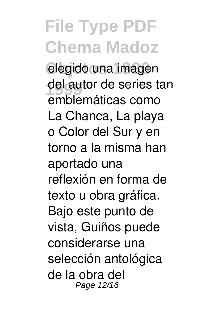elegido una imagen del autor de series tan emblemáticas como La Chanca, La playa o Color del Sur y en torno a la misma han aportado una reflexión en forma de texto u obra gráfica. Bajo este punto de vista, Guiños puede considerarse una selección antológica de la obra del Page 12/16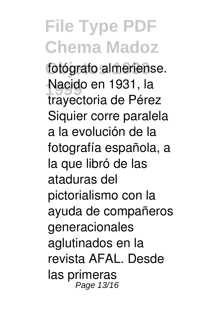#### **File Type PDF Chema Madoz** fotógrafo almeriense. **1999** Nacido en 1931, la trayectoria de Pérez Siquier corre paralela a la evolución de la fotografía española, a la que libró de las ataduras del pictorialismo con la ayuda de compañeros generacionales aglutinados en la revista AFAL. Desde las primeras Page 13/16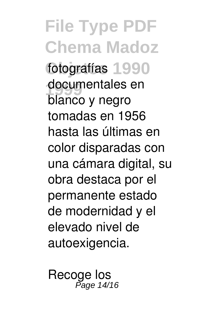**File Type PDF Chema Madoz** fotografías 1990 documentales en blanco y negro tomadas en 1956 hasta las últimas en color disparadas con una cámara digital, su obra destaca por el permanente estado de modernidad y el elevado nivel de autoexigencia.

Recoge los Page 14/16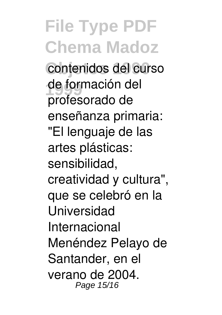**File Type PDF Chema Madoz** contenidos del curso de formación del profesorado de enseñanza primaria: "El lenguaje de las artes plásticas: sensibilidad, creatividad y cultura", que se celebró en la Universidad Internacional Menéndez Pelayo de Santander, en el verano de 2004. Page 15/16